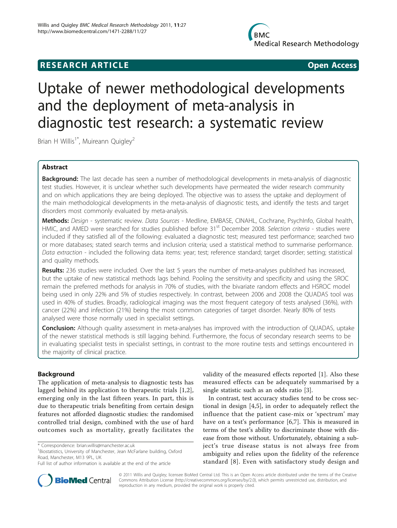# **RESEARCH ARTICLE Example 2018 12:00 Open Access**

# Uptake of newer methodological developments and the deployment of meta-analysis in diagnostic test research: a systematic review

Brian H Willis<sup>1\*</sup>, Muireann Quigley<sup>2</sup>

# Abstract

Background: The last decade has seen a number of methodological developments in meta-analysis of diagnostic test studies. However, it is unclear whether such developments have permeated the wider research community and on which applications they are being deployed. The objective was to assess the uptake and deployment of the main methodological developments in the meta-analysis of diagnostic tests, and identify the tests and target disorders most commonly evaluated by meta-analysis.

Methods: Design - systematic review. Data Sources - Medline, EMBASE, CINAHL, Cochrane, PsychInfo, Global health, HMIC, and AMED were searched for studies published before 31<sup>st</sup> December 2008. Selection criteria - studies were included if they satisfied all of the following: evaluated a diagnostic test; measured test performance; searched two or more databases; stated search terms and inclusion criteria; used a statistical method to summarise performance. Data extraction - included the following data items: year; test; reference standard; target disorder; setting; statistical and quality methods.

Results: 236 studies were included. Over the last 5 years the number of meta-analyses published has increased, but the uptake of new statistical methods lags behind. Pooling the sensitivity and specificity and using the SROC remain the preferred methods for analysis in 70% of studies, with the bivariate random effects and HSROC model being used in only 22% and 5% of studies respectively. In contrast, between 2006 and 2008 the QUADAS tool was used in 40% of studies. Broadly, radiological imaging was the most frequent category of tests analysed (36%), with cancer (22%) and infection (21%) being the most common categories of target disorder. Nearly 80% of tests analysed were those normally used in specialist settings.

**Conclusion:** Although quality assessment in meta-analyses has improved with the introduction of QUADAS, uptake of the newer statistical methods is still lagging behind. Furthermore, the focus of secondary research seems to be in evaluating specialist tests in specialist settings, in contrast to the more routine tests and settings encountered in the majority of clinical practice.

# Background

The application of meta-analysis to diagnostic tests has lagged behind its application to therapeutic trials [[1,2](#page-6-0)], emerging only in the last fifteen years. In part, this is due to therapeutic trials benefiting from certain design features not afforded diagnostic studies: the randomised controlled trial design, combined with the use of hard outcomes such as mortality, greatly facilitates the



In contrast, test accuracy studies tend to be cross sectional in design [[4,5](#page-6-0)], in order to adequately reflect the influence that the patient case-mix or 'spectrum' may have on a test's performance [\[6](#page-6-0),[7\]](#page-6-0). This is measured in terms of the test's ability to discriminate those with disease from those without. Unfortunately, obtaining a subject's true disease status is not always free from ambiguity and relies upon the fidelity of the reference standard [\[8\]](#page-6-0). Even with satisfactory study design and



© 2011 Willis and Quigley; licensee BioMed Central Ltd. This is an Open Access article distributed under the terms of the Creative Commons Attribution License [\(http://creativecommons.org/licenses/by/2.0](http://creativecommons.org/licenses/by/2.0)), which permits unrestricted use, distribution, and reproduction in any medium, provided the original work is properly cited.

<sup>\*</sup> Correspondence: [brian.willis@manchester.ac.uk](mailto:brian.willis@manchester.ac.uk)

<sup>&</sup>lt;sup>1</sup>Biostatistics, University of Manchester, Jean McFarlane building, Oxford Road, Manchester, M13 9PL, UK

Full list of author information is available at the end of the article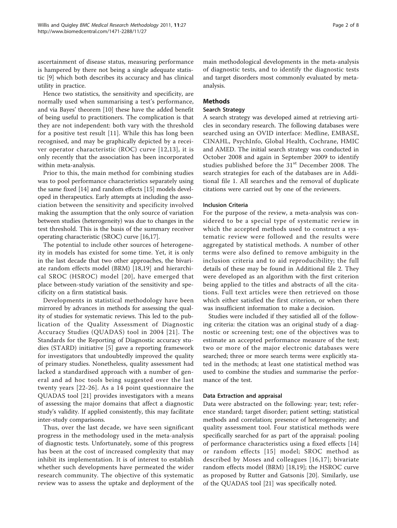ascertainment of disease status, measuring performance is hampered by there not being a single adequate statistic [\[9](#page-6-0)] which both describes its accuracy and has clinical utility in practice.

Hence two statistics, the sensitivity and specificity, are normally used when summarising a test's performance, and via Bayes' theorem [\[10](#page-6-0)] these have the added benefit of being useful to practitioners. The complication is that they are not independent: both vary with the threshold for a positive test result [[11](#page-6-0)]. While this has long been recognised, and may be graphically depicted by a receiver operator characteristic (ROC) curve [[12](#page-6-0),[13](#page-6-0)], it is only recently that the association has been incorporated within meta-analysis.

Prior to this, the main method for combining studies was to pool performance characteristics separately using the same fixed [[14](#page-6-0)] and random effects [\[15\]](#page-6-0) models developed in therapeutics. Early attempts at including the association between the sensitivity and specificity involved making the assumption that the only source of variation between studies (heterogeneity) was due to changes in the test threshold. This is the basis of the summary receiver operating characteristic (SROC) curve [[16,17\]](#page-6-0).

The potential to include other sources of heterogeneity in models has existed for some time. Yet, it is only in the last decade that two other approaches, the bivariate random effects model (BRM) [[18,19](#page-6-0)] and hierarchical SROC (HSROC) model [[20\]](#page-7-0), have emerged that place between-study variation of the sensitivity and specificity on a firm statistical basis.

Developments in statistical methodology have been mirrored by advances in methods for assessing the quality of studies for systematic reviews. This led to the publication of the Quality Assessment of Diagnostic Accuracy Studies (QUADAS) tool in 2004 [[21\]](#page-7-0). The Standards for the Reporting of Diagnostic accuracy studies (STARD) initiative [[5\]](#page-6-0) gave a reporting framework for investigators that undoubtedly improved the quality of primary studies. Nonetheless, quality assessment had lacked a standardised approach with a number of general and ad hoc tools being suggested over the last twenty years [[22](#page-7-0)-[26](#page-7-0)]. As a 14 point questionnaire the QUADAS tool [\[21](#page-7-0)] provides investigators with a means of assessing the major domains that affect a diagnostic study's validity. If applied consistently, this may facilitate inter-study comparisons.

Thus, over the last decade, we have seen significant progress in the methodology used in the meta-analysis of diagnostic tests. Unfortunately, some of this progress has been at the cost of increased complexity that may inhibit its implementation. It is of interest to establish whether such developments have permeated the wider research community. The objective of this systematic review was to assess the uptake and deployment of the main methodological developments in the meta-analysis of diagnostic tests, and to identify the diagnostic tests and target disorders most commonly evaluated by metaanalysis.

# Methods

# Search Strategy

A search strategy was developed aimed at retrieving articles in secondary research. The following databases were searched using an OVID interface: Medline, EMBASE, CINAHL, PsychInfo, Global Health, Cochrane, HMIC and AMED. The initial search strategy was conducted in October 2008 and again in September 2009 to identify studies published before the  $31<sup>st</sup>$  December 2008. The search strategies for each of the databases are in Additional file [1](#page-6-0). All searches and the removal of duplicate citations were carried out by one of the reviewers.

# Inclusion Criteria

For the purpose of the review, a meta-analysis was considered to be a special type of systematic review in which the accepted methods used to construct a systematic review were followed and the results were aggregated by statistical methods. A number of other terms were also defined to remove ambiguity in the inclusion criteria and to aid reproducibility; the full details of these may be found in Additional file [2](#page-6-0). They were developed as an algorithm with the first criterion being applied to the titles and abstracts of all the citations. Full text articles were then retrieved on those which either satisfied the first criterion, or when there was insufficient information to make a decision.

Studies were included if they satisfied all of the following criteria: the citation was an original study of a diagnostic or screening test; one of the objectives was to estimate an accepted performance measure of the test; two or more of the major electronic databases were searched; three or more search terms were explicitly stated in the methods; at least one statistical method was used to combine the studies and summarise the performance of the test.

# Data Extraction and appraisal

Data were abstracted on the following: year; test; reference standard; target disorder; patient setting; statistical methods and correlation; presence of heterogeneity; and quality assessment tool. Four statistical methods were specifically searched for as part of the appraisal: pooling of performance characteristics using a fixed effects [\[14](#page-6-0)] or random effects [[15\]](#page-6-0) model; SROC method as described by Moses and colleagues [[16](#page-6-0),[17](#page-6-0)]; bivariate random effects model (BRM) [[18,19\]](#page-6-0); the HSROC curve as proposed by Rutter and Gatsonis [\[20](#page-7-0)]. Similarly, use of the QUADAS tool [\[21\]](#page-7-0) was specifically noted.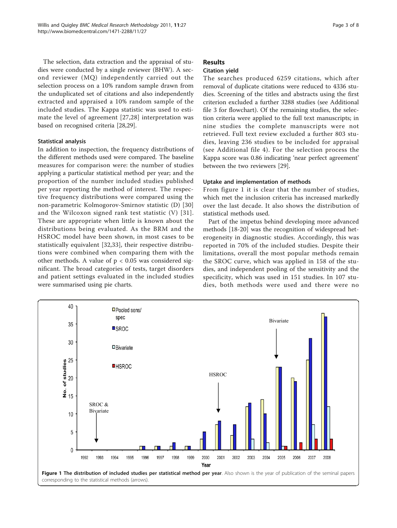<span id="page-2-0"></span>The selection, data extraction and the appraisal of studies were conducted by a single reviewer (BHW). A second reviewer (MQ) independently carried out the selection process on a 10% random sample drawn from the unduplicated set of citations and also independently extracted and appraised a 10% random sample of the included studies. The Kappa statistic was used to estimate the level of agreement [[27,28](#page-7-0)] interpretation was based on recognised criteria [\[28,29\]](#page-7-0).

# Statistical analysis

In addition to inspection, the frequency distributions of the different methods used were compared. The baseline measures for comparison were: the number of studies applying a particular statistical method per year; and the proportion of the number included studies published per year reporting the method of interest. The respective frequency distributions were compared using the non-parametric Kolmogorov-Smirnov statistic (D) [\[30](#page-7-0)] and the Wilcoxon signed rank test statistic (V) [\[31\]](#page-7-0). These are appropriate when little is known about the distributions being evaluated. As the BRM and the HSROC model have been shown, in most cases to be statistically equivalent [[32,33](#page-7-0)], their respective distributions were combined when comparing them with the other methods. A value of  $p < 0.05$  was considered significant. The broad categories of tests, target disorders and patient settings evaluated in the included studies were summarised using pie charts.

# Results

# Citation yield

The searches produced 6259 citations, which after removal of duplicate citations were reduced to 4336 studies. Screening of the titles and abstracts using the first criterion excluded a further 3288 studies (see Additional file [3](#page-6-0) for flowchart). Of the remaining studies, the selection criteria were applied to the full text manuscripts; in nine studies the complete manuscripts were not retrieved. Full text review excluded a further 803 studies, leaving 236 studies to be included for appraisal (see Additional file [4](#page-6-0)). For the selection process the Kappa score was 0.86 indicating 'near perfect agreement' between the two reviewers [\[29](#page-7-0)].

# Uptake and implementation of methods

From figure 1 it is clear that the number of studies, which met the inclusion criteria has increased markedly over the last decade. It also shows the distribution of statistical methods used.

Part of the impetus behind developing more advanced methods [[18](#page-6-0)[-20\]](#page-7-0) was the recognition of widespread heterogeneity in diagnostic studies. Accordingly, this was reported in 70% of the included studies. Despite their limitations, overall the most popular methods remain the SROC curve, which was applied in 158 of the studies, and independent pooling of the sensitivity and the specificity, which was used in 151 studies. In 107 studies, both methods were used and there were no

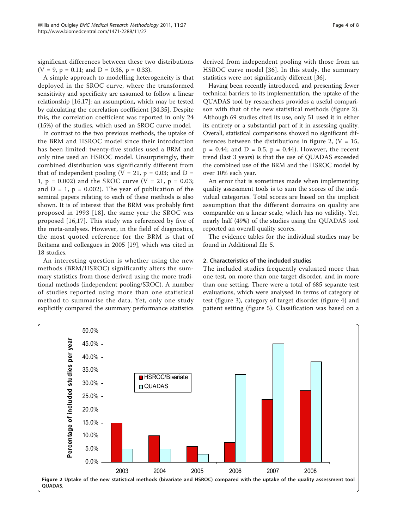<span id="page-3-0"></span>significant differences between these two distributions  $(V = 9, p = 0.11;$  and  $D = 0.36, p = 0.33$ .

A simple approach to modelling heterogeneity is that deployed in the SROC curve, where the transformed sensitivity and specificity are assumed to follow a linear relationship [[16,17\]](#page-6-0): an assumption, which may be tested by calculating the correlation coefficient [\[34,35](#page-7-0)]. Despite this, the correlation coefficient was reported in only 24 (15%) of the studies, which used an SROC curve model.

In contrast to the two previous methods, the uptake of the BRM and HSROC model since their introduction has been limited: twenty-five studies used a BRM and only nine used an HSROC model. Unsurprisingly, their combined distribution was significantly different from that of independent pooling ( $V = 21$ ,  $p = 0.03$ ; and  $D =$ 1,  $p = 0.002$ ) and the SROC curve (V = 21,  $p = 0.03$ ; and  $D = 1$ ,  $p = 0.002$ ). The year of publication of the seminal papers relating to each of these methods is also shown. It is of interest that the BRM was probably first proposed in 1993 [\[18\]](#page-6-0), the same year the SROC was proposed [[16,17](#page-6-0)]. This study was referenced by five of the meta-analyses. However, in the field of diagnostics, the most quoted reference for the BRM is that of Reitsma and colleagues in 2005 [\[19](#page-6-0)], which was cited in 18 studies.

An interesting question is whether using the new methods (BRM/HSROC) significantly alters the summary statistics from those derived using the more traditional methods (independent pooling/SROC). A number of studies reported using more than one statistical method to summarise the data. Yet, only one study explicitly compared the summary performance statistics

derived from independent pooling with those from an HSROC curve model [\[36\]](#page-7-0). In this study, the summary statistics were not significantly different [\[36](#page-7-0)].

Having been recently introduced, and presenting fewer technical barriers to its implementation, the uptake of the QUADAS tool by researchers provides a useful comparison with that of the new statistical methods (figure 2). Although 69 studies cited its use, only 51 used it in either its entirety or a substantial part of it in assessing quality. Overall, statistical comparisons showed no significant differences between the distributions in figure 2,  $(V = 15,$  $p = 0.44$ ; and  $D = 0.5$ ,  $p = 0.44$ ). However, the recent trend (last 3 years) is that the use of QUADAS exceeded the combined use of the BRM and the HSROC model by over 10% each year.

An error that is sometimes made when implementing quality assessment tools is to sum the scores of the individual categories. Total scores are based on the implicit assumption that the different domains on quality are comparable on a linear scale, which has no validity. Yet, nearly half (49%) of the studies using the QUADAS tool reported an overall quality scores.

The evidence tables for the individual studies may be found in Additional file [5.](#page-6-0)

# 2. Characteristics of the included studies

The included studies frequently evaluated more than one test, on more than one target disorder, and in more than one setting. There were a total of 685 separate test evaluations, which were analysed in terms of category of test (figure [3](#page-4-0)), category of target disorder (figure [4\)](#page-4-0) and patient setting (figure [5](#page-4-0)). Classification was based on a

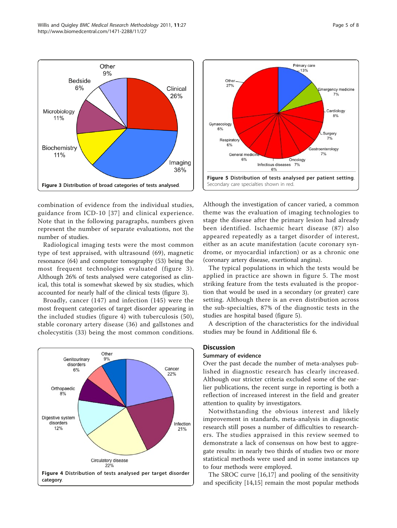<span id="page-4-0"></span>

combination of evidence from the individual studies, guidance from ICD-10 [[37\]](#page-7-0) and clinical experience. Note that in the following paragraphs, numbers given represent the number of separate evaluations, not the number of studies.

Radiological imaging tests were the most common type of test appraised, with ultrasound (69), magnetic resonance (64) and computer tomography (53) being the most frequent technologies evaluated (figure 3). Although 26% of tests analysed were categorised as clinical, this total is somewhat skewed by six studies, which accounted for nearly half of the clinical tests (figure 3).

Broadly, cancer (147) and infection (145) were the most frequent categories of target disorder appearing in the included studies (figure 4) with tuberculosis (50), stable coronary artery disease (36) and gallstones and cholecystitis (33) being the most common conditions.





Although the investigation of cancer varied, a common theme was the evaluation of imaging technologies to stage the disease after the primary lesion had already been identified. Ischaemic heart disease (87) also appeared repeatedly as a target disorder of interest, either as an acute manifestation (acute coronary syndrome, or myocardial infarction) or as a chronic one (coronary artery disease, exertional angina).

The typical populations in which the tests would be applied in practice are shown in figure 5. The most striking feature from the tests evaluated is the proportion that would be used in a secondary (or greater) care setting. Although there is an even distribution across the sub-specialties, 87% of the diagnostic tests in the studies are hospital based (figure 5).

A description of the characteristics for the individual studies may be found in Additional file [6.](#page-6-0)

# **Discussion**

### Summary of evidence

Over the past decade the number of meta-analyses published in diagnostic research has clearly increased. Although our stricter criteria excluded some of the earlier publications, the recent surge in reporting is both a reflection of increased interest in the field and greater attention to quality by investigators.

Notwithstanding the obvious interest and likely improvement in standards, meta-analysis in diagnostic research still poses a number of difficulties to researchers. The studies appraised in this review seemed to demonstrate a lack of consensus on how best to aggregate results: in nearly two thirds of studies two or more statistical methods were used and in some instances up to four methods were employed.

The SROC curve [[16,17\]](#page-6-0) and pooling of the sensitivity and specificity [[14,15](#page-6-0)] remain the most popular methods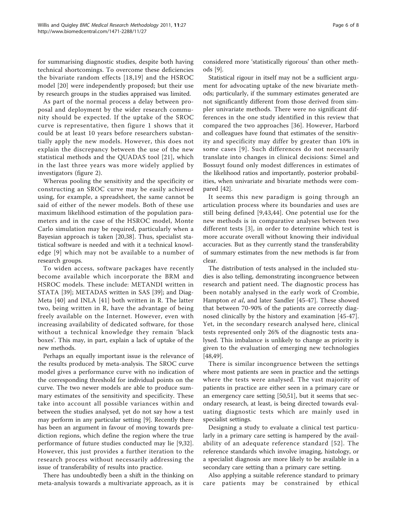for summarising diagnostic studies, despite both having technical shortcomings. To overcome these deficiencies the bivariate random effects [[18](#page-6-0),[19](#page-6-0)] and the HSROC model [\[20](#page-7-0)] were independently proposed; but their use by research groups in the studies appraised was limited.

As part of the normal process a delay between proposal and deployment by the wider research community should be expected. If the uptake of the SROC curve is representative, then figure [1](#page-2-0) shows that it could be at least 10 years before researchers substantially apply the new models. However, this does not explain the discrepancy between the use of the new statistical methods and the QUADAS tool [[21](#page-7-0)], which in the last three years was more widely applied by investigators (figure [2\)](#page-3-0).

Whereas pooling the sensitivity and the specificity or constructing an SROC curve may be easily achieved using, for example, a spreadsheet, the same cannot be said of either of the newer models. Both of these use maximum likelihood estimation of the population parameters and in the case of the HSROC model, Monte Carlo simulation may be required, particularly when a Bayesian approach is taken [[20,38\]](#page-7-0). Thus, specialist statistical software is needed and with it a technical knowledge [[9](#page-6-0)] which may not be available to a number of research groups.

To widen access, software packages have recently become available which incorporate the BRM and HSROC models. These include: METANDI written in STATA [\[39\]](#page-7-0); METADAS written in SAS [\[39](#page-7-0)]; and Diag-Meta [[40](#page-7-0)] and INLA [\[41](#page-7-0)] both written in R. The latter two, being written in R, have the advantage of being freely available on the Internet. However, even with increasing availability of dedicated software, for those without a technical knowledge they remain 'black boxes'. This may, in part, explain a lack of uptake of the new methods.

Perhaps an equally important issue is the relevance of the results produced by meta-analysis. The SROC curve model gives a performance curve with no indication of the corresponding threshold for individual points on the curve. The two newer models are able to produce summary estimates of the sensitivity and specificity. These take into account all possible variances within and between the studies analysed, yet do not say how a test may perform in any particular setting [\[9](#page-6-0)]. Recently there has been an argument in favour of moving towards prediction regions, which define the region where the true performance of future studies conducted may lie [[9,](#page-6-0)[32](#page-7-0)]. However, this just provides a further iteration to the research process without necessarily addressing the issue of transferability of results into practice.

There has undoubtedly been a shift in the thinking on meta-analysis towards a multivariate approach, as it is considered more 'statistically rigorous' than other methods [\[9](#page-6-0)].

Statistical rigour in itself may not be a sufficient argument for advocating uptake of the new bivariate methods; particularly, if the summary estimates generated are not significantly different from those derived from simpler univariate methods. There were no significant differences in the one study identified in this review that compared the two approaches [\[36](#page-7-0)]. However, Harbord and colleagues have found that estimates of the sensitivity and specificity may differ by greater than 10% in some cases [[9\]](#page-6-0). Such differences do not necessarily translate into changes in clinical decisions: Simel and Bossuyt found only modest differences in estimates of the likelihood ratios and importantly, posterior probabilities, when univariate and bivariate methods were compared [[42\]](#page-7-0).

It seems this new paradigm is going through an articulation process where its boundaries and uses are still being defined [[9](#page-6-0),[43,44\]](#page-7-0). One potential use for the new methods is in comparative analyses between two different tests [\[3](#page-6-0)], in order to determine which test is more accurate overall without knowing their individual accuracies. But as they currently stand the transferability of summary estimates from the new methods is far from clear.

The distribution of tests analysed in the included studies is also telling, demonstrating incongruence between research and patient need. The diagnostic process has been notably analysed in the early work of Crombie, Hampton *et al*, and later Sandler [\[45](#page-7-0)-[47\]](#page-7-0). These showed that between 70-90% of the patients are correctly diagnosed clinically by the history and examination [[45-47](#page-7-0)]. Yet, in the secondary research analysed here, clinical tests represented only 26% of the diagnostic tests analysed. This imbalance is unlikely to change as priority is given to the evaluation of emerging new technologies [[48,49\]](#page-7-0).

There is similar incongruence between the settings where most patients are seen in practice and the settings where the tests were analysed. The vast majority of patients in practice are either seen in a primary care or an emergency care setting [[50,51\]](#page-7-0), but it seems that secondary research, at least, is being directed towards evaluating diagnostic tests which are mainly used in specialist settings.

Designing a study to evaluate a clinical test particularly in a primary care setting is hampered by the availability of an adequate reference standard [[52](#page-7-0)]. The reference standards which involve imaging, histology, or a specialist diagnosis are more likely to be available in a secondary care setting than a primary care setting.

Also applying a suitable reference standard to primary care patients may be constrained by ethical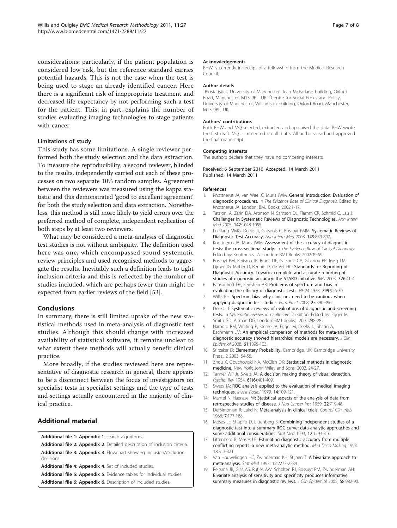<span id="page-6-0"></span>considerations; particularly, if the patient population is considered low risk, but the reference standard carries potential hazards. This is not the case when the test is being used to stage an already identified cancer. Here there is a significant risk of inappropriate treatment and decreased life expectancy by not performing such a test for the patient. This, in part, explains the number of studies evaluating imaging technologies to stage patients with cancer.

# Limitations of study

This study has some limitations. A single reviewer performed both the study selection and the data extraction. To measure the reproducibility, a second reviewer, blinded to the results, independently carried out each of these processes on two separate 10% random samples. Agreement between the reviewers was measured using the kappa statistic and this demonstrated 'good to excellent agreement' for both the study selection and data extraction. Nonetheless, this method is still more likely to yield errors over the preferred method of complete, independent replication of both steps by at least two reviewers.

What may be considered a meta-analysis of diagnostic test studies is not without ambiguity. The definition used here was one, which encompassed sound systematic review principles and used recognised methods to aggregate the results. Inevitably such a definition leads to tight inclusion criteria and this is reflected by the number of studies included, which are perhaps fewer than might be expected from earlier reviews of the field [\[53](#page-7-0)].

# Conclusions

In summary, there is still limited uptake of the new statistical methods used in meta-analysis of diagnostic test studies. Although this should change with increased availability of statistical software, it remains unclear to what extent these methods will actually benefit clinical practice.

More broadly, if the studies reviewed here are representative of diagnostic research in general, there appears to be a disconnect between the focus of investigators on specialist tests in specialist settings and the type of tests and settings actually encountered in the majority of clinical practice.

# Additional material

[Additional file 1: A](http://www.biomedcentral.com/content/supplementary/1471-2288-11-27-S1.DOC)ppendix 1. search algorithms.

[Additional file 2: A](http://www.biomedcentral.com/content/supplementary/1471-2288-11-27-S2.DOC)ppendix 2. Detailed description of inclusion criteria. [Additional file 3: A](http://www.biomedcentral.com/content/supplementary/1471-2288-11-27-S3.DOC)ppendix 3. Flowchart showing inclusion/exclusion decisions.

[Additional file 4: A](http://www.biomedcentral.com/content/supplementary/1471-2288-11-27-S4.DOC)ppendix 4. Set of included studies.

[Additional file 5: A](http://www.biomedcentral.com/content/supplementary/1471-2288-11-27-S5.DOC)ppendix 5. Evidence tables for individual studies. [Additional file 6: A](http://www.biomedcentral.com/content/supplementary/1471-2288-11-27-S6.DOC)ppendix 6. Description of included studies.

#### Acknowledgements

BHW is currently in receipt of a fellowship from the Medical Research Council.

#### Author details

<sup>1</sup> Biostatistics, University of Manchester, Jean McFarlane building, Oxford Road, Manchester, M13 9PL, UK. <sup>2</sup>Centre for Social Ethics and Policy, University of Manchester, Williamson building, Oxford Road, Manchester, M13 9PL, UK.

#### Authors' contributions

Both BHW and MQ selected, extracted and appraised the data. BHW wrote the first draft. MQ commented on all drafts. All authors read and approved the final manuscript.

#### Competing interests

The authors declare that they have no competing interests.

#### Received: 6 September 2010 Accepted: 14 March 2011 Published: 14 March 2011

#### References

- 1. Knottnerus JA, van Weel C, Muris JWM: General introduction: Evaluation of diagnostic procedures. In The Evidence Base of Clinical Diagnosis. Edited by: Knottnerus JA. London: BMJ Books; 2002:1-17.
- 2. Tatsioni A, Zarin DA, Aronson N, Samson DJ, Flamm CR, Schmid C, Lau J: [Challenges in Systematic Reviews of Diagnostic Technologies.](http://www.ncbi.nlm.nih.gov/pubmed/15968029?dopt=Abstract) Ann Intern Med 2005, 142:1048-1055.
- 3. Leeflang MMG, Deeks JJ, Gatsonis C, Bossuyt PMM: [Systematic Reviews of](http://www.ncbi.nlm.nih.gov/pubmed/19075208?dopt=Abstract) [Diagnostic Test Accuracy.](http://www.ncbi.nlm.nih.gov/pubmed/19075208?dopt=Abstract) Ann Intern Med 2008, 149:889-897.
- 4. Knottnerus JA, Muris JWM: Assessment of the accuracy of diagnostic tests: the cross-sectional study. In The Evidence Base of Clinical Diagnosis. Edited by: Knottnerus JA. London: BMJ Books; 2002:39-59.
- 5. Bossuyt PM, Reitsma JB, Bruns DE, Gatsonis CA, Glasziou PP, Irwig LM, Lijmer JG, Moher D, Rennie D, de Vet HC: [Standards for Reporting of](http://www.ncbi.nlm.nih.gov/pubmed/12511463?dopt=Abstract) [Diagnostic Accuracy. Towards complete and accurate reporting of](http://www.ncbi.nlm.nih.gov/pubmed/12511463?dopt=Abstract) [studies of diagnostic accuracy: the STARD initiative.](http://www.ncbi.nlm.nih.gov/pubmed/12511463?dopt=Abstract) BMJ 2003, 326:41-4.
- Ransonhoff DF, Feinstein AR: [Problems of spectrum and bias in](http://www.ncbi.nlm.nih.gov/pubmed/692598?dopt=Abstract) [evaluating the efficacy of diagnostic tests.](http://www.ncbi.nlm.nih.gov/pubmed/692598?dopt=Abstract) NEJM 1978, 299:926-30.
- 7. Willis BH: Spectrum bias–[why clinicians need to be cautious when](http://www.ncbi.nlm.nih.gov/pubmed/18765409?dopt=Abstract) [applying diagnostic test studies.](http://www.ncbi.nlm.nih.gov/pubmed/18765409?dopt=Abstract) Fam Pract 2008, 25:390-396.
- 8. Deeks JJ: Systematic reviews of evaluations of diagnostic and screening tests. In Systematic reviews in healthcare. 2 edition. Edited by: Egger M, Smith GD, Altman DG. London: BMJ books; 2001:248-282.
- 9. Harbord RM, Whiting P, Sterne JA, Egger M, Deeks JJ, Shang A, Bachmann LM: [An empirical comparison of methods for meta-analysis of](http://www.ncbi.nlm.nih.gov/pubmed/19208372?dopt=Abstract) [diagnostic accuracy showed hierarchical models are necessary.](http://www.ncbi.nlm.nih.gov/pubmed/19208372?dopt=Abstract) J Clin Epidemiol 2008, 61:1095-103.
- 10. Stirzaker D: Elementary Probability. Cambridge, UK: Cambridge University Press;, 2 2003, 54-55.
- 11. Zhou X, Obuchowski NA, McClish DK: Statistical methods in diagnostic medicine. New York: John Wiley and Sons; 2002, 24-27.
- 12. Tanner WP Jr, Swets JA: [A decision making theory of visual detection.](http://www.ncbi.nlm.nih.gov/pubmed/13215690?dopt=Abstract) Psychol Rev 1954, 61(6):401-409.
- 13. Swets JA: [ROC analysis applied to the evaluation of medical imaging](http://www.ncbi.nlm.nih.gov/pubmed/478799?dopt=Abstract) [techniques.](http://www.ncbi.nlm.nih.gov/pubmed/478799?dopt=Abstract) Invest Radiol 1979, 14:109-121.
- 14. Mantel N, Haenszel W: [Statistical aspects of the analysis of data from](http://www.ncbi.nlm.nih.gov/pubmed/13655060?dopt=Abstract) [retrospective studies of disease.](http://www.ncbi.nlm.nih.gov/pubmed/13655060?dopt=Abstract) J Natl Cancer Inst 1959, 22:719-48.
- 15. DerSimonian R, Laird N: [Meta-analysis in clinical trials.](http://www.ncbi.nlm.nih.gov/pubmed/3802833?dopt=Abstract) Control Clin trials 1986, 7:177-188.
- 16. Moses LE, Shapiro D, Littenberg B: Combining [independent studies of a](http://www.ncbi.nlm.nih.gov/pubmed/8210827?dopt=Abstract) [diagnostic test into a summary ROC curve: data-analytic approaches and](http://www.ncbi.nlm.nih.gov/pubmed/8210827?dopt=Abstract) [some additional considerations.](http://www.ncbi.nlm.nih.gov/pubmed/8210827?dopt=Abstract) Stat Med 1993, 12:1293-316.
- 17. Littenberg B, Moses LE: [Estimating diagnostic accuracy from multiple](http://www.ncbi.nlm.nih.gov/pubmed/8246704?dopt=Abstract) [conflicting reports: a new meta-analytic method.](http://www.ncbi.nlm.nih.gov/pubmed/8246704?dopt=Abstract) Med Decis Making 1993, 13:313-321.
- 18. Van Houwelingen HC, Zwinderman KH, Stijnen T: [A bivariate approach to](http://www.ncbi.nlm.nih.gov/pubmed/7907813?dopt=Abstract) [meta-analysis.](http://www.ncbi.nlm.nih.gov/pubmed/7907813?dopt=Abstract) Stat Med 1993, 12:2273-2284.
- 19. Reitsma JB, Glas AS, Rutjes AW, Scholten RJ, Bossuyt PM, Zwinderman AH: [Bivariate analysis of sensitivity and specificity produces informative](http://www.ncbi.nlm.nih.gov/pubmed/16168343?dopt=Abstract) [summary measures in diagnostic reviews.](http://www.ncbi.nlm.nih.gov/pubmed/16168343?dopt=Abstract) J Clin Epidemiol 2005, 58:982-90.